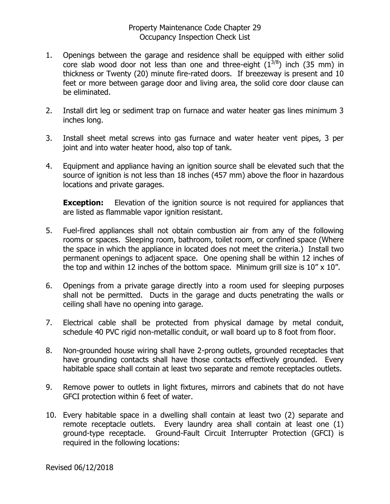- 1. Openings between the garage and residence shall be equipped with either solid core slab wood door not less than one and three-eight  $(1^{3/8})$  inch (35 mm) in thickness or Twenty (20) minute fire-rated doors. If breezeway is present and 10 feet or more between garage door and living area, the solid core door clause can be eliminated.
- 2. Install dirt leg or sediment trap on furnace and water heater gas lines minimum 3 inches long.
- 3. Install sheet metal screws into gas furnace and water heater vent pipes, 3 per joint and into water heater hood, also top of tank.
- 4. Equipment and appliance having an ignition source shall be elevated such that the source of ignition is not less than 18 inches (457 mm) above the floor in hazardous locations and private garages.

**Exception:** Elevation of the ignition source is not required for appliances that are listed as flammable vapor ignition resistant.

- 5. Fuel-fired appliances shall not obtain combustion air from any of the following rooms or spaces. Sleeping room, bathroom, toilet room, or confined space (Where the space in which the appliance in located does not meet the criteria.) Install two permanent openings to adjacent space. One opening shall be within 12 inches of the top and within 12 inches of the bottom space. Minimum grill size is  $10'' \times 10''$ .
- 6. Openings from a private garage directly into a room used for sleeping purposes shall not be permitted. Ducts in the garage and ducts penetrating the walls or ceiling shall have no opening into garage.
- 7. Electrical cable shall be protected from physical damage by metal conduit, schedule 40 PVC rigid non-metallic conduit, or wall board up to 8 foot from floor.
- 8. Non-grounded house wiring shall have 2-prong outlets, grounded receptacles that have grounding contacts shall have those contacts effectively grounded. Every habitable space shall contain at least two separate and remote receptacles outlets.
- 9. Remove power to outlets in light fixtures, mirrors and cabinets that do not have GFCI protection within 6 feet of water.
- 10. Every habitable space in a dwelling shall contain at least two (2) separate and remote receptacle outlets. Every laundry area shall contain at least one (1) ground-type receptacle. Ground-Fault Circuit Interrupter Protection (GFCI) is required in the following locations: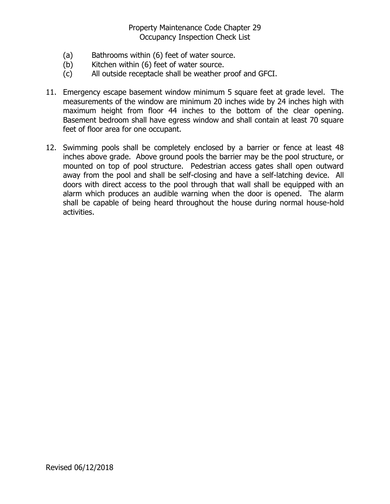- (a) Bathrooms within (6) feet of water source.
- (b) Kitchen within (6) feet of water source.
- (c) All outside receptacle shall be weather proof and GFCI.
- 11. Emergency escape basement window minimum 5 square feet at grade level. The measurements of the window are minimum 20 inches wide by 24 inches high with maximum height from floor 44 inches to the bottom of the clear opening. Basement bedroom shall have egress window and shall contain at least 70 square feet of floor area for one occupant.
- 12. Swimming pools shall be completely enclosed by a barrier or fence at least 48 inches above grade. Above ground pools the barrier may be the pool structure, or mounted on top of pool structure. Pedestrian access gates shall open outward away from the pool and shall be self-closing and have a self-latching device. All doors with direct access to the pool through that wall shall be equipped with an alarm which produces an audible warning when the door is opened. The alarm shall be capable of being heard throughout the house during normal house-hold activities.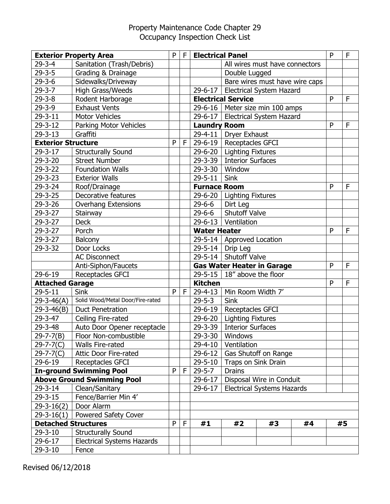| <b>Exterior Property Area</b>     |                                   | P | F | <b>Electrical Panel</b> |                                     |                                   | P  | F |    |
|-----------------------------------|-----------------------------------|---|---|-------------------------|-------------------------------------|-----------------------------------|----|---|----|
| $29 - 3 - 4$                      | Sanitation (Trash/Debris)         |   |   |                         |                                     | All wires must have connectors    |    |   |    |
| $29 - 3 - 5$                      | Grading & Drainage                |   |   |                         | Double Lugged                       |                                   |    |   |    |
| $29 - 3 - 6$                      | Sidewalks/Driveway                |   |   |                         |                                     | Bare wires must have wire caps    |    |   |    |
| $29 - 3 - 7$                      | High Grass/Weeds                  |   |   | 29-6-17                 |                                     | <b>Electrical System Hazard</b>   |    |   |    |
| $29 - 3 - 8$                      | Rodent Harborage                  |   |   |                         | <b>Electrical Service</b>           |                                   |    | P | F  |
| $29 - 3 - 9$                      | <b>Exhaust Vents</b>              |   |   |                         |                                     | 29-6-16   Meter size min 100 amps |    |   |    |
| $29 - 3 - 11$                     | <b>Motor Vehicles</b>             |   |   | 29-6-17                 |                                     | Electrical System Hazard          |    |   |    |
| $29 - 3 - 12$                     | Parking Motor Vehicles            |   |   | <b>Laundry Room</b>     |                                     |                                   |    | P | F  |
| $29 - 3 - 13$                     | Graffiti                          |   |   | 29-4-11                 | <b>Dryer Exhaust</b>                |                                   |    |   |    |
| <b>Exterior Structure</b>         |                                   | P | F |                         | 29-6-19   Receptacles GFCI          |                                   |    |   |    |
| $29 - 3 - 17$                     | <b>Structurally Sound</b>         |   |   | 29-6-20                 | <b>Lighting Fixtures</b>            |                                   |    |   |    |
| $29 - 3 - 20$                     | <b>Street Number</b>              |   |   | 29-3-39                 | <b>Interior Surfaces</b>            |                                   |    |   |    |
| $29 - 3 - 22$                     | <b>Foundation Walls</b>           |   |   | 29-3-30                 | Window                              |                                   |    |   |    |
| $29 - 3 - 23$                     | <b>Exterior Walls</b>             |   |   | $29 - 5 - 11$           | <b>Sink</b>                         |                                   |    |   |    |
| 29-3-24                           | Roof/Drainage                     |   |   | <b>Furnace Room</b>     |                                     |                                   |    | P | F  |
| 29-3-25                           | Decorative features               |   |   |                         | 29-6-20   Lighting Fixtures         |                                   |    |   |    |
| 29-3-26                           | <b>Overhang Extensions</b>        |   |   | 29-6-6                  | Dirt Leg                            |                                   |    |   |    |
| $29 - 3 - 27$                     | Stairway                          |   |   | 29-6-6                  | <b>Shutoff Valve</b>                |                                   |    |   |    |
| $29 - 3 - 27$                     | <b>Deck</b>                       |   |   |                         | 29-6-13   Ventilation               |                                   |    |   |    |
| 29-3-27                           | Porch                             |   |   | <b>Water Heater</b>     |                                     |                                   |    | P | F  |
| 29-3-27                           | Balcony                           |   |   |                         | 29-5-14   Approved Location         |                                   |    |   |    |
| $29 - 3 - 32$                     | Door Locks                        |   |   |                         | 29-5-14   Drip Leg                  |                                   |    |   |    |
|                                   | <b>AC Disconnect</b>              |   |   | $29 - 5 - 14$           | <b>Shutoff Valve</b>                |                                   |    |   |    |
|                                   | Anti-Siphon/Faucets               |   |   |                         |                                     | <b>Gas Water Heater in Garage</b> |    | P | F  |
| $29 - 6 - 19$                     | Receptacles GFCI                  |   |   |                         | 29-5-15 $\vert$ 18" above the floor |                                   |    |   |    |
| <b>Attached Garage</b>            |                                   |   |   | <b>Kitchen</b>          |                                     |                                   |    | P | F  |
| $29 - 5 - 11$                     | <b>Sink</b>                       | P | F | 29-4-13                 | Min Room Width 7'                   |                                   |    |   |    |
| $29 - 3 - 46(A)$                  | Solid Wood/Metal Door/Fire-rated  |   |   | $29 - 5 - 3$            | <b>Sink</b>                         |                                   |    |   |    |
| $29 - 3 - 46(B)$                  | <b>Duct Penetration</b>           |   |   | 29-6-19                 | Receptacles GFCI                    |                                   |    |   |    |
| 29-3-47                           | Ceiling Fire-rated                |   |   |                         | 29-6-20   Lighting Fixtures         |                                   |    |   |    |
| 29-3-48                           | Auto Door Opener receptacle       |   |   | 29-3-39                 | <b>Interior Surfaces</b>            |                                   |    |   |    |
| $29 - 7 - 7(B)$                   | Floor Non-combustible             |   |   |                         | 29-3-30   Windows                   |                                   |    |   |    |
| $29-7-7(C)$                       | <b>Walls Fire-rated</b>           |   |   | 29-4-10                 | Ventilation                         |                                   |    |   |    |
| 29-7-7(C)                         | <b>Attic Door Fire-rated</b>      |   |   | 29-6-12                 |                                     | Gas Shutoff on Range              |    |   |    |
| 29-6-19                           | Receptacles GFCI                  |   |   | 29-5-10                 | Traps on Sink Drain                 |                                   |    |   |    |
|                                   | <b>In-ground Swimming Pool</b>    | P | F | $29 - 5 - 7$            | <b>Drains</b>                       |                                   |    |   |    |
| <b>Above Ground Swimming Pool</b> |                                   |   |   | $29 - 6 - 17$           | Disposal Wire in Conduit            |                                   |    |   |    |
| 29-3-14                           | Clean/Sanitary                    |   |   | $29 - 6 - 17$           |                                     | <b>Electrical Systems Hazards</b> |    |   |    |
| $29 - 3 - 15$                     | Fence/Barrier Min 4'              |   |   |                         |                                     |                                   |    |   |    |
| $29 - 3 - 16(2)$                  | Door Alarm                        |   |   |                         |                                     |                                   |    |   |    |
| $29 - 3 - 16(1)$                  | <b>Powered Safety Cover</b>       |   |   |                         |                                     |                                   |    |   |    |
| <b>Detached Structures</b>        |                                   | P | F | #1                      | #2                                  | #3                                | #4 |   | #5 |
| $29 - 3 - 10$                     | <b>Structurally Sound</b>         |   |   |                         |                                     |                                   |    |   |    |
| 29-6-17                           | <b>Electrical Systems Hazards</b> |   |   |                         |                                     |                                   |    |   |    |
| $29 - 3 - 10$                     | Fence                             |   |   |                         |                                     |                                   |    |   |    |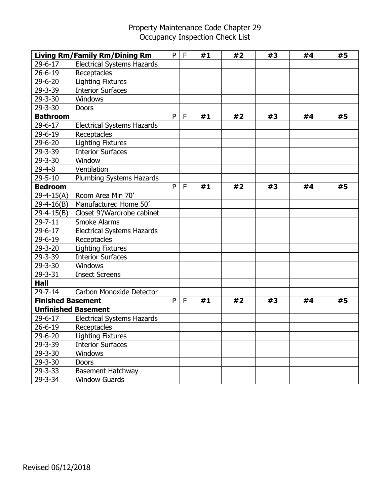|                          | <b>Living Rm/Family Rm/Dining Rm</b> | P | F | #1 | #2 | #3 | #4 | #5 |
|--------------------------|--------------------------------------|---|---|----|----|----|----|----|
| $29 - 6 - 17$            | <b>Electrical Systems Hazards</b>    |   |   |    |    |    |    |    |
| $26 - 6 - 19$            | Receptacles                          |   |   |    |    |    |    |    |
| 29-6-20                  | <b>Lighting Fixtures</b>             |   |   |    |    |    |    |    |
| $29 - 3 - 39$            | <b>Interior Surfaces</b>             |   |   |    |    |    |    |    |
| 29-3-30                  | <b>Windows</b>                       |   |   |    |    |    |    |    |
| 29-3-30                  | <b>Doors</b>                         |   |   |    |    |    |    |    |
| <b>Bathroom</b>          |                                      | P | F | #1 | #2 | #3 | #4 | #5 |
| $29 - 6 - 17$            | <b>Electrical Systems Hazards</b>    |   |   |    |    |    |    |    |
| $29 - 6 - 19$            | Receptacles                          |   |   |    |    |    |    |    |
| $29 - 6 - 20$            | <b>Lighting Fixtures</b>             |   |   |    |    |    |    |    |
| 29-3-39                  | <b>Interior Surfaces</b>             |   |   |    |    |    |    |    |
| 29-3-30                  | Window                               |   |   |    |    |    |    |    |
| $29 - 4 - 8$             | Ventilation                          |   |   |    |    |    |    |    |
| $29 - 5 - 10$            | Plumbing Systems Hazards             |   |   |    |    |    |    |    |
| <b>Bedroom</b>           |                                      | P | F | #1 | #2 | #3 | #4 | #5 |
| $29 - 4 - 15(A)$         | Room Area Min 70'                    |   |   |    |    |    |    |    |
| $29 - 4 - 16(B)$         | Manufactured Home 50'                |   |   |    |    |    |    |    |
| $29 - 4 - 15(B)$         | Closet 9'/Wardrobe cabinet           |   |   |    |    |    |    |    |
| $29 - 7 - 11$            | <b>Smoke Alarms</b>                  |   |   |    |    |    |    |    |
| 29-6-17                  | <b>Electrical Systems Hazards</b>    |   |   |    |    |    |    |    |
| 29-6-19                  | Receptacles                          |   |   |    |    |    |    |    |
| $29 - 3 - 20$            | <b>Lighting Fixtures</b>             |   |   |    |    |    |    |    |
| 29-3-39                  | <b>Interior Surfaces</b>             |   |   |    |    |    |    |    |
| $29 - 3 - 30$            | Windows                              |   |   |    |    |    |    |    |
| $29 - 3 - 31$            | <b>Insect Screens</b>                |   |   |    |    |    |    |    |
| <b>Hall</b>              |                                      |   |   |    |    |    |    |    |
| $29 - 7 - 14$            | Carbon Monoxide Detector             |   |   |    |    |    |    |    |
| <b>Finished Basement</b> |                                      | P | F | #1 | #2 | #3 | #4 | #5 |
|                          | <b>Unfinished Basement</b>           |   |   |    |    |    |    |    |
| 29-6-17                  | <b>Electrical Systems Hazards</b>    |   |   |    |    |    |    |    |
| $26 - 6 - 19$            | Receptacles                          |   |   |    |    |    |    |    |
| 29-6-20                  | <b>Lighting Fixtures</b>             |   |   |    |    |    |    |    |
| 29-3-39                  | <b>Interior Surfaces</b>             |   |   |    |    |    |    |    |
| 29-3-30                  | <b>Windows</b>                       |   |   |    |    |    |    |    |
| $29 - 3 - 30$            | <b>Doors</b>                         |   |   |    |    |    |    |    |
| $29 - 3 - 33$            | <b>Basement Hatchway</b>             |   |   |    |    |    |    |    |
| 29-3-34                  | <b>Window Guards</b>                 |   |   |    |    |    |    |    |